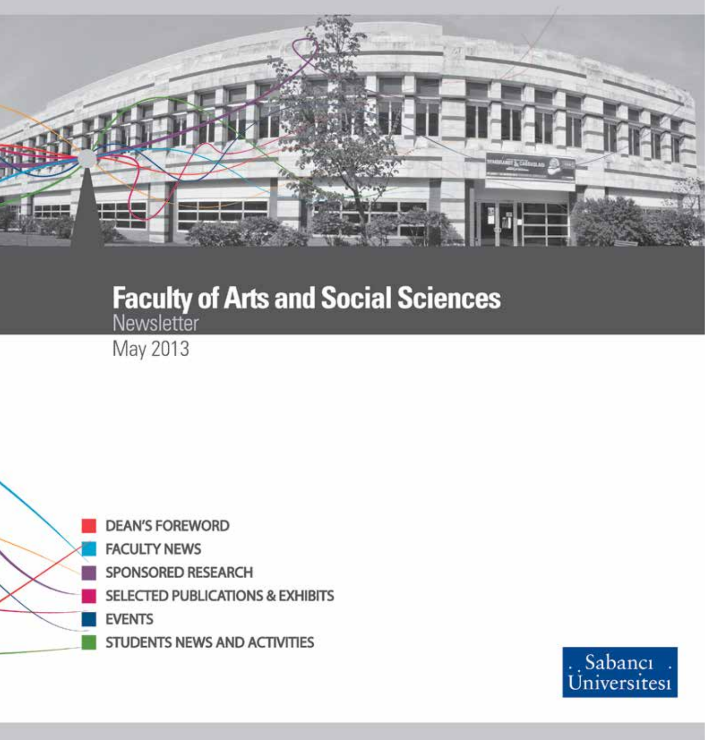

# **Faculty of Arts and Social Sciences**

May 2013



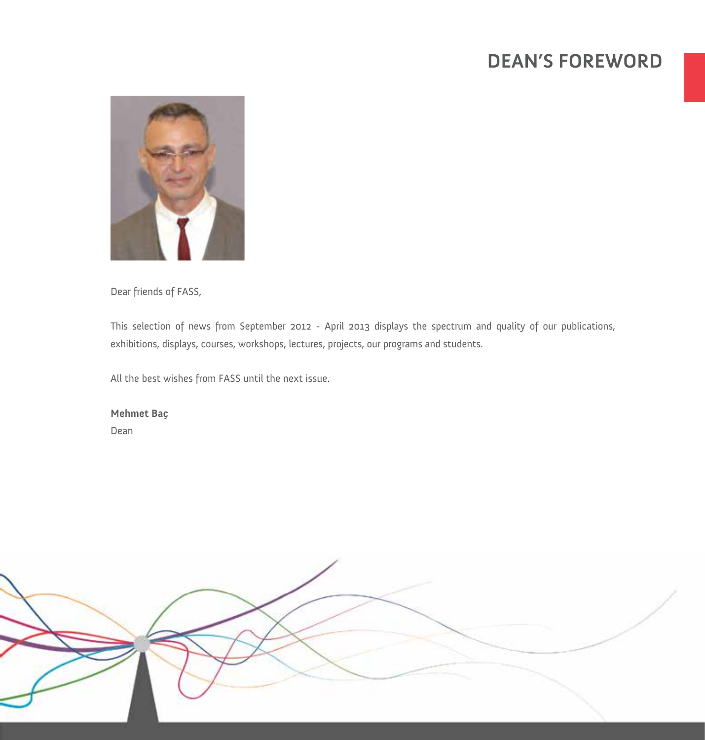## **DEAN'S FOREWORD**



Dear friends of FASS,

This selection of news from September 2012 - April 2013 displays the spectrum and quality of our publications, exhibitions, displays, courses, workshops, lectures, projects, our programs and students.

All the best wishes from FASS until the next issue.

**Mehmet Baç**

Dean

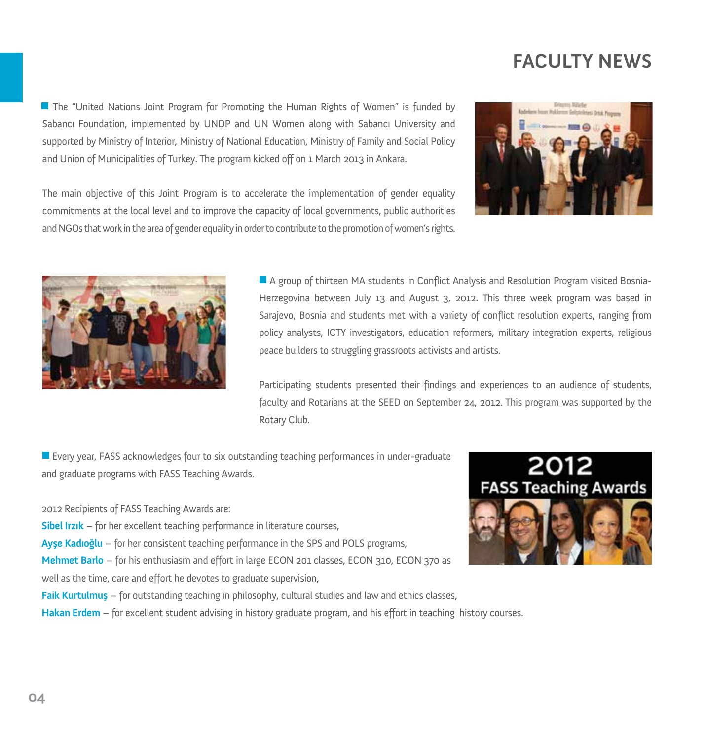## **FACULTY NEWS**

**The "United Nations Joint Program for Promoting the Human Rights of Women" is funded by** Sabancı Foundation, implemented by UNDP and UN Women along with Sabancı University and supported by Ministry of Interior, Ministry of National Education, Ministry of Family and Social Policy and Union of Municipalities of Turkey. The program kicked off on 1 March 2013 in Ankara.



The main objective of this Joint Program is to accelerate the implementation of gender equality commitments at the local level and to improve the capacity of local governments, public authorities and NGOs that work in the area of gender equality in order to contribute to the promotion of women's rights.



A group of thirteen MA students in Conflict Analysis and Resolution Program visited Bosnia-Herzegovina between July 13 and August 3, 2012. This three week program was based in Sarajevo, Bosnia and students met with a variety of conflict resolution experts, ranging from policy analysts, ICTY investigators, education reformers, military integration experts, religious peace builders to struggling grassroots activists and artists.

Participating students presented their findings and experiences to an audience of students, faculty and Rotarians at the SEED on September 24, 2012. This program was supported by the Rotary Club.

 $\blacksquare$  Every year, FASS acknowledges four to six outstanding teaching performances in under-graduate and graduate programs with FASS Teaching Awards.

2012 Recipients of FASS Teaching Awards are:

**Sibel Irzık** – for her excellent teaching performance in literature courses,

**Ayşe Kadıoğlu** – for her consistent teaching performance in the SPS and POLS programs,

**Mehmet Barlo** – for his enthusiasm and effort in large ECON 201 classes, ECON 310, ECON 370 as well as the time, care and effort he devotes to graduate supervision,



**Faik Kurtulmuş** – for outstanding teaching in philosophy, cultural studies and law and ethics classes,

**Hakan Erdem** – for excellent student advising in history graduate program, and his effort in teaching history courses.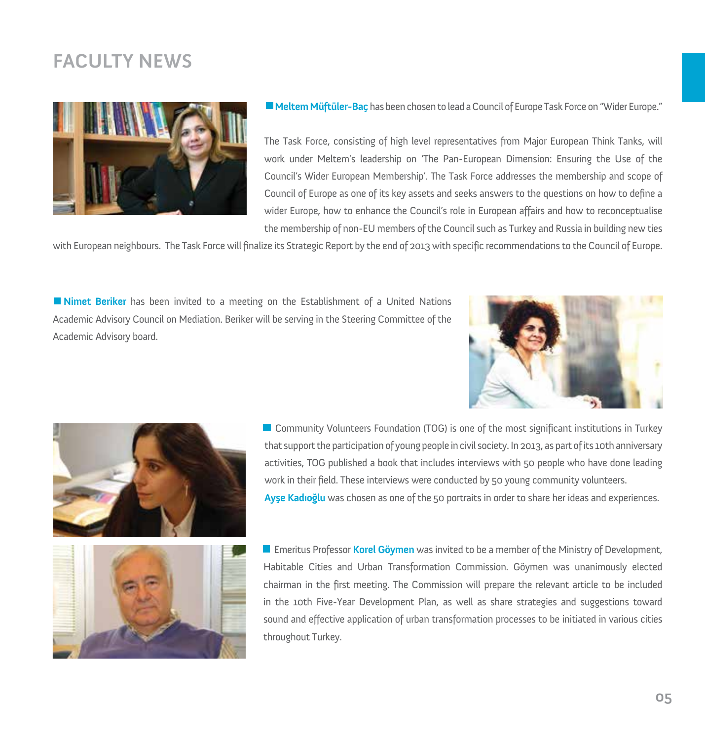# **FACULTY NEWS**



#### **Meltem Müftüler-Baç** has been chosen to lead a Council of Europe Task Force on "Wider Europe."

The Task Force, consisting of high level representatives from Major European Think Tanks, will work under Meltem's leadership on 'The Pan-European Dimension: Ensuring the Use of the Council's Wider European Membership'. The Task Force addresses the membership and scope of Council of Europe as one of its key assets and seeks answers to the questions on how to define a wider Europe, how to enhance the Council's role in European affairs and how to reconceptualise the membership of non-EU members of the Council such as Turkey and Russia in building new ties

with European neighbours. The Task Force will finalize its Strategic Report by the end of 2013 with specific recommendations to the Council of Europe.

**Nimet Beriker** has been invited to a meeting on the Establishment of a United Nations Academic Advisory Council on Mediation. Beriker will be serving in the Steering Committee of the Academic Advisory board.







■ Community Volunteers Foundation (TOG) is one of the most significant institutions in Turkey that support the participation of young people in civil society. In 2013, as part of its 10th anniversary activities, TOG published a book that includes interviews with 50 people who have done leading work in their field. These interviews were conducted by 50 young community volunteers. **Ayşe Kadıoğlu** was chosen as one of the 50 portraits in order to share her ideas and experiences.

Emeritus Professor **Korel Göymen** was invited to be a member of the Ministry of Development, Habitable Cities and Urban Transformation Commission. Göymen was unanimously elected chairman in the first meeting. The Commission will prepare the relevant article to be included in the 10th Five-Year Development Plan, as well as share strategies and suggestions toward sound and effective application of urban transformation processes to be initiated in various cities throughout Turkey.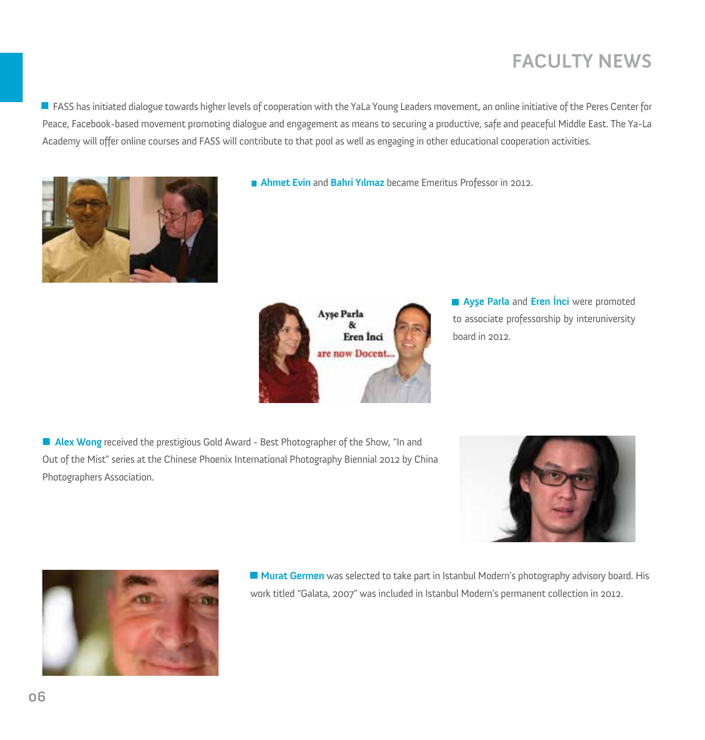# **FACULTY NEWS**

FASS has initiated dialogue towards higher levels of cooperation with the YaLa Young Leaders movement, an online initiative of the Peres Center for Peace, Facebook-based movement promoting dialogue and engagement as means to securing a productive, safe and peaceful Middle East. The Ya-La Academy will offer online courses and FASS will contribute to that pool as well as engaging in other educational cooperation activities.



**Ahmet Evin** and **Bahri Yılmaz** became Emeritus Professor in 2012.



**Ayşe Parla** and **Eren İnci** were promoted to associate professorship by interuniversity board in 2012.

**Alex Wong** received the prestigious Gold Award - Best Photographer of the Show, "In and Out of the Mist" series at the Chinese Phoenix International Photography Biennial 2012 by China Photographers Association.





**Murat Germen** was selected to take part in Istanbul Modern's photography advisory board. His work titled "Galata, 2007" was included in Istanbul Modern's permanent collection in 2012.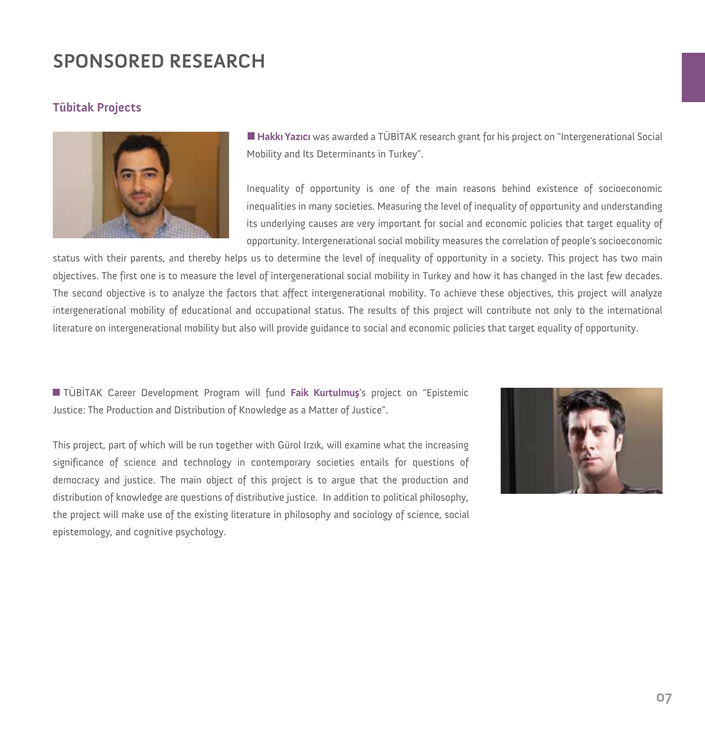# **SPONSORED RESEARCH**

#### **Tübitak Projects**



**Hakkı Yazıcı** was awarded a TÜBİTAK research grant for his project on "Intergenerational Social Mobility and Its Determinants in Turkey".

Inequality of opportunity is one of the main reasons behind existence of socioeconomic inequalities in many societies. Measuring the level of inequality of opportunity and understanding its underlying causes are very important for social and economic policies that target equality of opportunity. Intergenerational social mobility measures the correlation of people's socioeconomic

status with their parents, and thereby helps us to determine the level of inequality of opportunity in a society. This project has two main objectives. The first one is to measure the level of intergenerational social mobility in Turkey and how it has changed in the last few decades. The second objective is to analyze the factors that affect intergenerational mobility. To achieve these objectives, this project will analyze intergenerational mobility of educational and occupational status. The results of this project will contribute not only to the international literature on intergenerational mobility but also will provide guidance to social and economic policies that target equality of opportunity.

TÜBİTAK Career Development Program will fund **Faik Kurtulmuş**'s project on "Epistemic Justice: The Production and Distribution of Knowledge as a Matter of Justice".

This project, part of which will be run together with Gürol Irzık, will examine what the increasing significance of science and technology in contemporary societies entails for questions of democracy and justice. The main object of this project is to argue that the production and distribution of knowledge are questions of distributive justice. In addition to political philosophy, the project will make use of the existing literature in philosophy and sociology of science, social epistemology, and cognitive psychology.

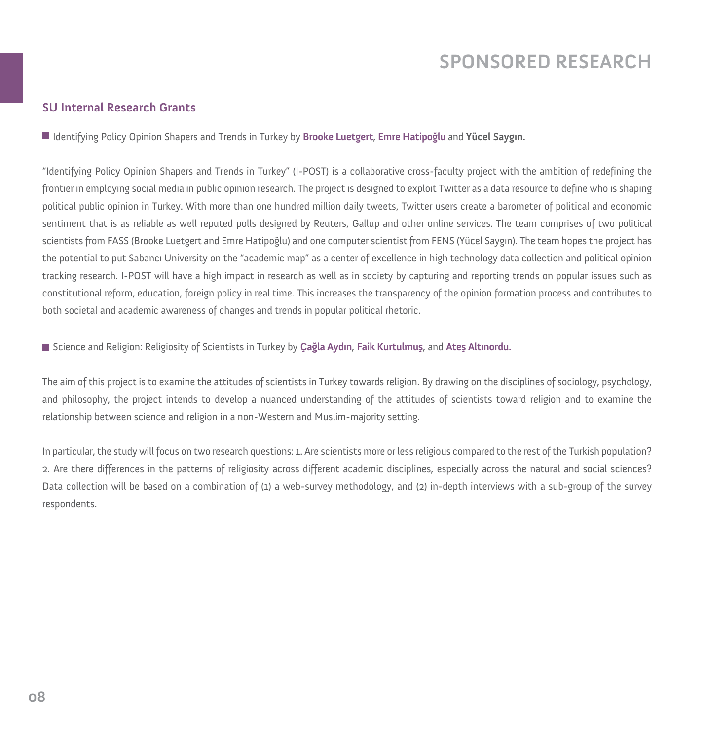# **SPONSORED RESEARCH**

#### **SU Internal Research Grants**

Identifying Policy Opinion Shapers and Trends in Turkey by **Brooke Luetgert**, **Emre Hatipoğlu** and **Yücel Saygın.**

"Identifying Policy Opinion Shapers and Trends in Turkey" (I-POST) is a collaborative cross-faculty project with the ambition of redefining the frontier in employing social media in public opinion research. The project is designed to exploit Twitter as a data resource to define who is shaping political public opinion in Turkey. With more than one hundred million daily tweets, Twitter users create a barometer of political and economic sentiment that is as reliable as well reputed polls designed by Reuters, Gallup and other online services. The team comprises of two political scientists from FASS (Brooke Luetgert and Emre Hatipoğlu) and one computer scientist from FENS (Yücel Saygın). The team hopes the project has the potential to put Sabancı University on the "academic map" as a center of excellence in high technology data collection and political opinion tracking research. I-POST will have a high impact in research as well as in society by capturing and reporting trends on popular issues such as constitutional reform, education, foreign policy in real time. This increases the transparency of the opinion formation process and contributes to both societal and academic awareness of changes and trends in popular political rhetoric.

Science and Religion: Religiosity of Scientists in Turkey by **Çağla Aydın**, **Faik Kurtulmuş**, and **Ateş Altınordu.**

The aim of this project is to examine the attitudes of scientists in Turkey towards religion. By drawing on the disciplines of sociology, psychology, and philosophy, the project intends to develop a nuanced understanding of the attitudes of scientists toward religion and to examine the relationship between science and religion in a non-Western and Muslim-majority setting.

In particular, the study will focus on two research questions: 1. Are scientists more or less religious compared to the rest of the Turkish population? 2. Are there differences in the patterns of religiosity across different academic disciplines, especially across the natural and social sciences? Data collection will be based on a combination of (1) a web-survey methodology, and (2) in-depth interviews with a sub-group of the survey respondents.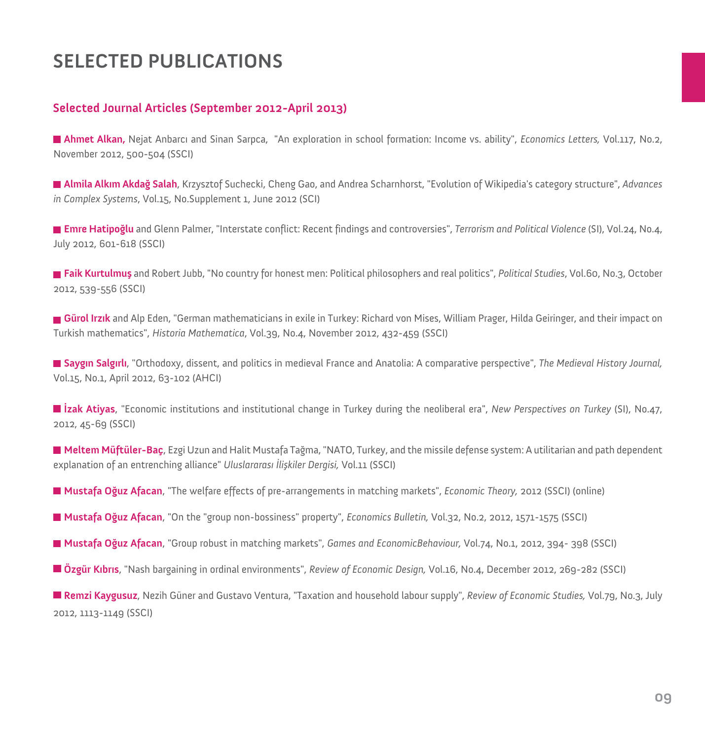## **Selected Journal Articles (September 2012-April 2013)**

**Ahmet Alkan,** Nejat Anbarcı and Sinan Sarpca, "An exploration in school formation: Income vs. ability", *Economics Letters,* Vol.117, No.2, November 2012, 500-504 (SSCI)

**Almila Alkım Akdağ Salah**, Krzysztof Suchecki, Cheng Gao, and Andrea Scharnhorst, "Evolution of Wikipedia's category structure", *Advances in Complex Systems*, Vol.15, No.Supplement 1, June 2012 (SCI)

**Emre Hatipoğlu** and Glenn Palmer, "Interstate conflict: Recent findings and controversies", *Terrorism and Political Violence* (SI), Vol.24, No.4, July 2012, 601-618 (SSCI)

**Faik Kurtulmuş** and Robert Jubb, "No country for honest men: Political philosophers and real politics", *Political Studies*, Vol.60, No.3, October 2012, 539-556 (SSCI)

**Gürol Irzık** and Alp Eden, "German mathematicians in exile in Turkey: Richard von Mises, William Prager, Hilda Geiringer, and their impact on Turkish mathematics", *Historia Mathematica*, Vol.39, No.4, November 2012, 432-459 (SSCI)

**Saygın Salgırlı**, "Orthodoxy, dissent, and politics in medieval France and Anatolia: A comparative perspective", *The Medieval History Journal,*  Vol.15, No.1, April 2012, 63-102 (AHCI)

**İzak Atiyas**, "Economic institutions and institutional change in Turkey during the neoliberal era", *New Perspectives on Turkey* (SI), No.47, 2012, 45-69 (SSCI)

**Meltem Müftüler-Baç**, Ezgi Uzun and Halit Mustafa Tağma, "NATO, Turkey, and the missile defense system: A utilitarian and path dependent explanation of an entrenching alliance" *Uluslararası İlişkiler Dergisi,* Vol.11 (SSCI)

**Mustafa Oğuz Afacan**, "The welfare effects of pre-arrangements in matching markets", *Economic Theory,* 2012 (SSCI) (online)

**Mustafa Oğuz Afacan**, "On the "group non-bossiness" property", *Economics Bulletin,* Vol.32, No.2, 2012, 1571-1575 (SSCI)

**Mustafa Oğuz Afacan**, "Group robust in matching markets", *Games and EconomicBehaviour,* Vol.74, No.1, 2012, 394- 398 (SSCI)

**Özgür Kıbrıs**, "Nash bargaining in ordinal environments", *Review of Economic Design,* Vol.16, No.4, December 2012, 269-282 (SSCI)

**Remzi Kaygusuz**, Nezih Güner and Gustavo Ventura, "Taxation and household labour supply", *Review of Economic Studies,* Vol.79, No.3, July 2012, 1113-1149 (SSCI)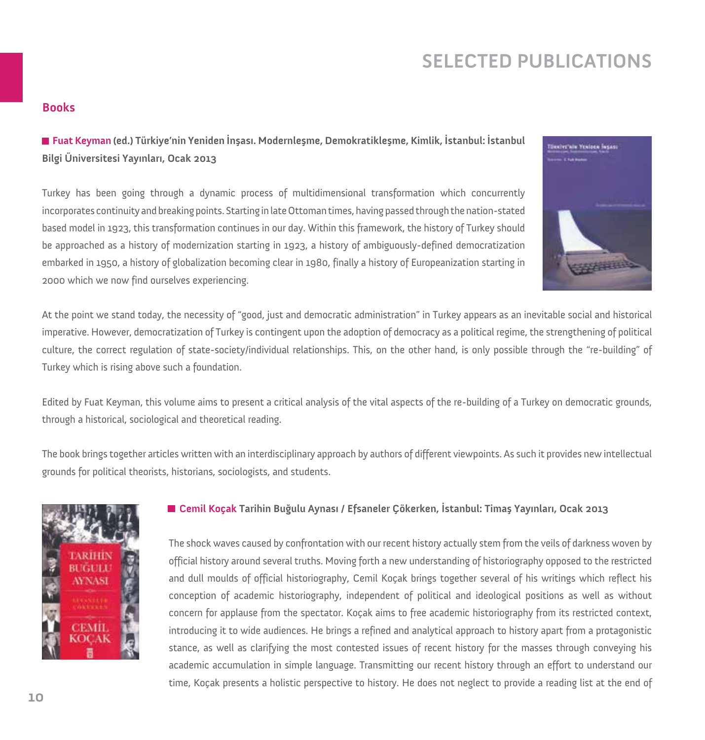#### **Books**

**Fuat Keyman (ed.) Türkiye'nin Yeniden İnşası. Modernleşme, Demokratikleşme, Kimlik, İstanbul: İstanbul Bilgi Üniversitesi Yayınları, Ocak 2013**

Turkey has been going through a dynamic process of multidimensional transformation which concurrently incorporates continuity and breaking points. Starting in late Ottoman times, having passed through the nation-stated based model in 1923, this transformation continues in our day. Within this framework, the history of Turkey should be approached as a history of modernization starting in 1923, a history of ambiguously-defined democratization embarked in 1950, a history of globalization becoming clear in 1980, finally a history of Europeanization starting in 2000 which we now find ourselves experiencing.



At the point we stand today, the necessity of "good, just and democratic administration" in Turkey appears as an inevitable social and historical imperative. However, democratization of Turkey is contingent upon the adoption of democracy as a political regime, the strengthening of political culture, the correct regulation of state-society/individual relationships. This, on the other hand, is only possible through the "re-building" of Turkey which is rising above such a foundation.

Edited by Fuat Keyman, this volume aims to present a critical analysis of the vital aspects of the re-building of a Turkey on democratic grounds, through a historical, sociological and theoretical reading.

The book brings together articles written with an interdisciplinary approach by authors of different viewpoints. As such it provides new intellectual grounds for political theorists, historians, sociologists, and students.



#### **Cemil Koçak Tarihin Buğulu Aynası / Efsaneler Çökerken, İstanbul: Timaş Yayınları, Ocak 2013**

The shock waves caused by confrontation with our recent history actually stem from the veils of darkness woven by official history around several truths. Moving forth a new understanding of historiography opposed to the restricted and dull moulds of official historiography, Cemil Koçak brings together several of his writings which reflect his conception of academic historiography, independent of political and ideological positions as well as without concern for applause from the spectator. Koçak aims to free academic historiography from its restricted context, introducing it to wide audiences. He brings a refined and analytical approach to history apart from a protagonistic stance, as well as clarifying the most contested issues of recent history for the masses through conveying his academic accumulation in simple language. Transmitting our recent history through an effort to understand our time, Koçak presents a holistic perspective to history. He does not neglect to provide a reading list at the end of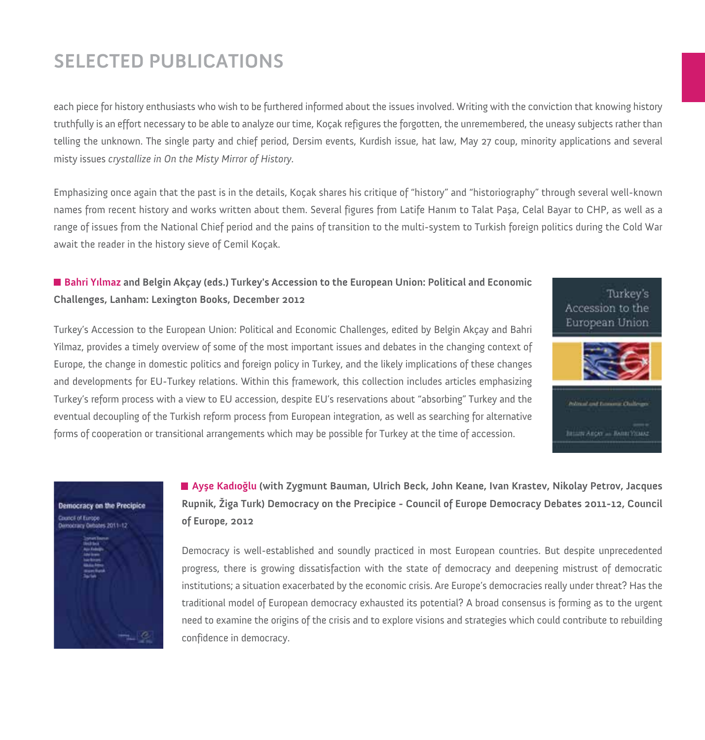each piece for history enthusiasts who wish to be furthered informed about the issues involved. Writing with the conviction that knowing history truthfully is an effort necessary to be able to analyze our time, Koçak refigures the forgotten, the unremembered, the uneasy subjects rather than telling the unknown. The single party and chief period, Dersim events, Kurdish issue, hat law, May 27 coup, minority applications and several misty issues *crystallize in On the Misty Mirror of History.*

Emphasizing once again that the past is in the details, Koçak shares his critique of "history" and "historiography" through several well-known names from recent history and works written about them. Several figures from Latife Hanım to Talat Paşa, Celal Bayar to CHP, as well as a range of issues from the National Chief period and the pains of transition to the multi-system to Turkish foreign politics during the Cold War await the reader in the history sieve of Cemil Koçak.

## **Bahri Yılmaz and Belgin Akçay (eds.) Turkey's Accession to the European Union: Political and Economic Challenges, Lanham: Lexington Books, December 2012**

Turkey's Accession to the European Union: Political and Economic Challenges, edited by Belgin Akçay and Bahri

#### Turkey's Accession to the European Union

Yilmaz, provides a timely overview of some of the most important issues and debates in the changing context of Europe, the change in domestic politics and foreign policy in Turkey, and the likely implications of these changes and developments for EU-Turkey relations. Within this framework, this collection includes articles emphasizing Turkey's reform process with a view to EU accession, despite EU's reservations about "absorbing" Turkey and the eventual decoupling of the Turkish reform process from European integration, as well as searching for alternative forms of cooperation or transitional arrangements which may be possible for Turkey at the time of accession.





**Ayşe Kadıoğlu (with Zygmunt Bauman, Ulrich Beck, John Keane, Ivan Krastev, Nikolay Petrov, Jacques Rupnik, Žiga Turk) Democracy on the Precipice - Council of Europe Democracy Debates 2011-12, Council of Europe, 2012** 

Democracy is well-established and soundly practiced in most European countries. But despite unprecedented progress, there is growing dissatisfaction with the state of democracy and deepening mistrust of democratic institutions; a situation exacerbated by the economic crisis. Are Europe's democracies really under threat? Has the traditional model of European democracy exhausted its potential? A broad consensus is forming as to the urgent need to examine the origins of the crisis and to explore visions and strategies which could contribute to rebuilding confidence in democracy.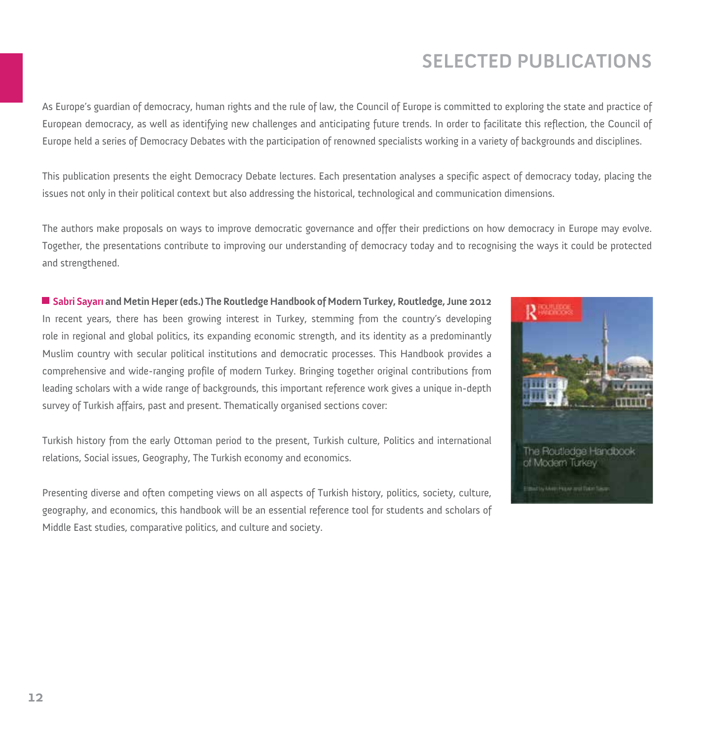As Europe's guardian of democracy, human rights and the rule of law, the Council of Europe is committed to exploring the state and practice of European democracy, as well as identifying new challenges and anticipating future trends. In order to facilitate this reflection, the Council of Europe held a series of Democracy Debates with the participation of renowned specialists working in a variety of backgrounds and disciplines.

This publication presents the eight Democracy Debate lectures. Each presentation analyses a specific aspect of democracy today, placing the issues not only in their political context but also addressing the historical, technological and communication dimensions.

The authors make proposals on ways to improve democratic governance and offer their predictions on how democracy in Europe may evolve. Together, the presentations contribute to improving our understanding of democracy today and to recognising the ways it could be protected and strengthened.

**Sabri Sayarı and Metin Heper (eds.) The Routledge Handbook of Modern Turkey, Routledge, June 2012** In recent years, there has been growing interest in Turkey, stemming from the country's developing role in regional and global politics, its expanding economic strength, and its identity as a predominantly Muslim country with secular political institutions and democratic processes. This Handbook provides a comprehensive and wide-ranging profile of modern Turkey. Bringing together original contributions from leading scholars with a wide range of backgrounds, this important reference work gives a unique in-depth survey of Turkish affairs, past and present. Thematically organised sections cover:

Turkish history from the early Ottoman period to the present, Turkish culture, Politics and international relations, Social issues, Geography, The Turkish economy and economics.

Presenting diverse and often competing views on all aspects of Turkish history, politics, society, culture, geography, and economics, this handbook will be an essential reference tool for students and scholars of Middle East studies, comparative politics, and culture and society.

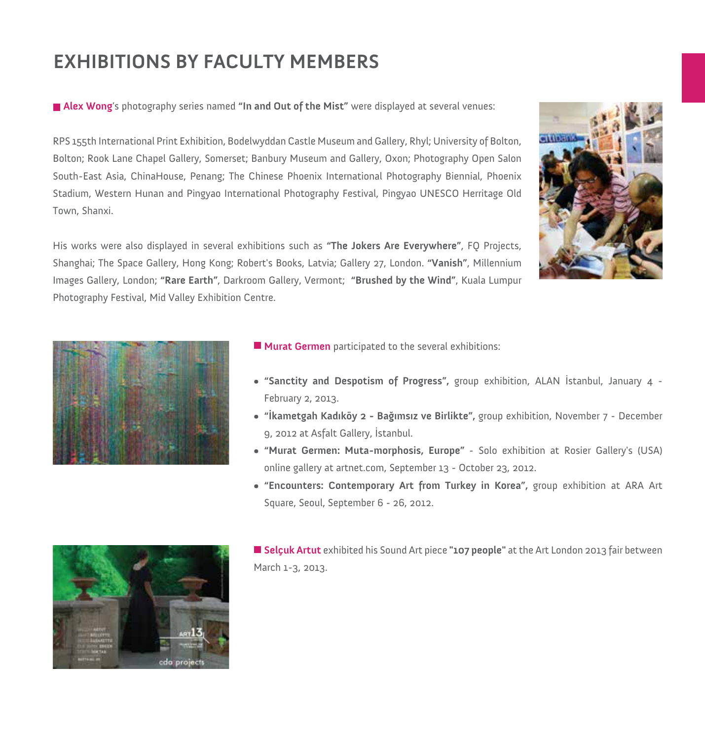# **EXHIBITIONS BY FACULTY MEMBERS**

**Alex Wong**'s photography series named **"In and Out of the Mist"** were displayed at several venues:

RPS 155th International Print Exhibition, Bodelwyddan Castle Museum and Gallery, Rhyl; University of Bolton, Bolton; Rook Lane Chapel Gallery, Somerset; Banbury Museum and Gallery, Oxon; Photography Open Salon South-East Asia, ChinaHouse, Penang; The Chinese Phoenix International Photography Biennial, Phoenix Stadium, Western Hunan and Pingyao International Photography Festival, Pingyao UNESCO Herritage Old Town, Shanxi.

His works were also displayed in several exhibitions such as **"The Jokers Are Everywhere"**, FQ Projects, Shanghai; The Space Gallery, Hong Kong; Robert's Books, Latvia; Gallery 27, London. **"Vanish"**, Millennium Images Gallery, London; **"Rare Earth"**, Darkroom Gallery, Vermont; **"Brushed by the Wind"**, Kuala Lumpur Photography Festival, Mid Valley Exhibition Centre.





- **Murat Germen** participated to the several exhibitions:
- **• "Sanctity and Despotism of Progress",** group exhibition, ALAN İstanbul, January 4 February 2, 2013.
- **• "İkametgah Kadıköy 2 Bağımsız ve Birlikte",** group exhibition, November 7 December 9, 2012 at Asfalt Gallery, İstanbul.
- **• "Murat Germen: Muta-morphosis, Europe"**  Solo exhibition at Rosier Gallery's (USA) online gallery at artnet.com, September 13 - October 23, 2012.
- **• "Encounters: Contemporary Art from Turkey in Korea",** group exhibition at ARA Art Square, Seoul, September 6 - 26, 2012.



**Selçuk Artut** exhibited his Sound Art piece **"107 people"** at the Art London 2013 fair between March 1-3, 2013.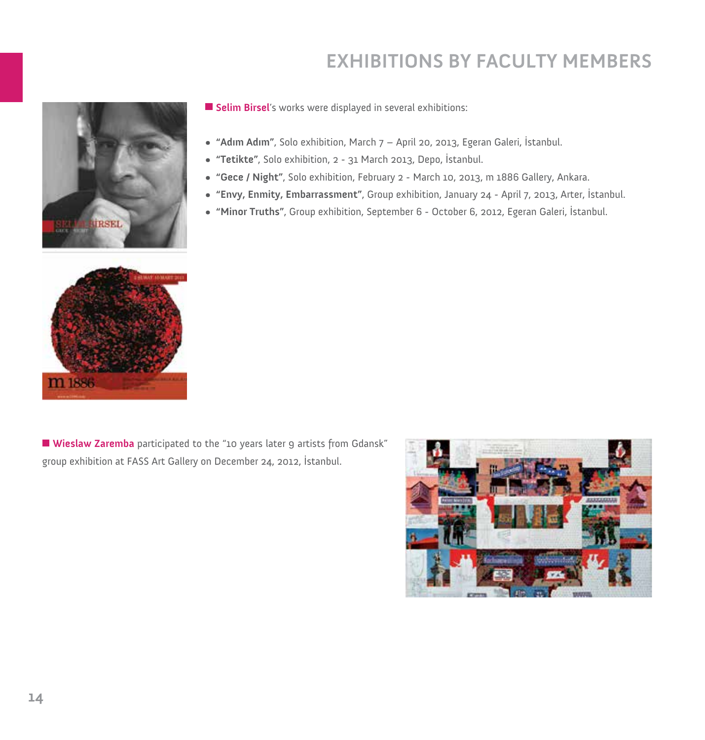# **EXHIBITIONS BY FACULTY MEMBERS**



- **Selim Birsel**'s works were displayed in several exhibitions:
- **• "Adım Adım"**, Solo exhibition, March 7 April 20, 2013, Egeran Galeri, İstanbul.
- **• "Tetikte"**, Solo exhibition, 2 31 March 2013, Depo, İstanbul.
- **• "Gece / Night"**, Solo exhibition, February 2 March 10, 2013, m 1886 Gallery, Ankara.
- **• "Envy, Enmity, Embarrassment"**, Group exhibition, January 24 April 7, 2013, Arter, İstanbul.
- **• "Minor Truths"**, Group exhibition, September 6 October 6, 2012, Egeran Galeri, İstanbul.



**Wieslaw Zaremba** participated to the "10 years later 9 artists from Gdansk" group exhibition at FASS Art Gallery on December 24, 2012, İstanbul.

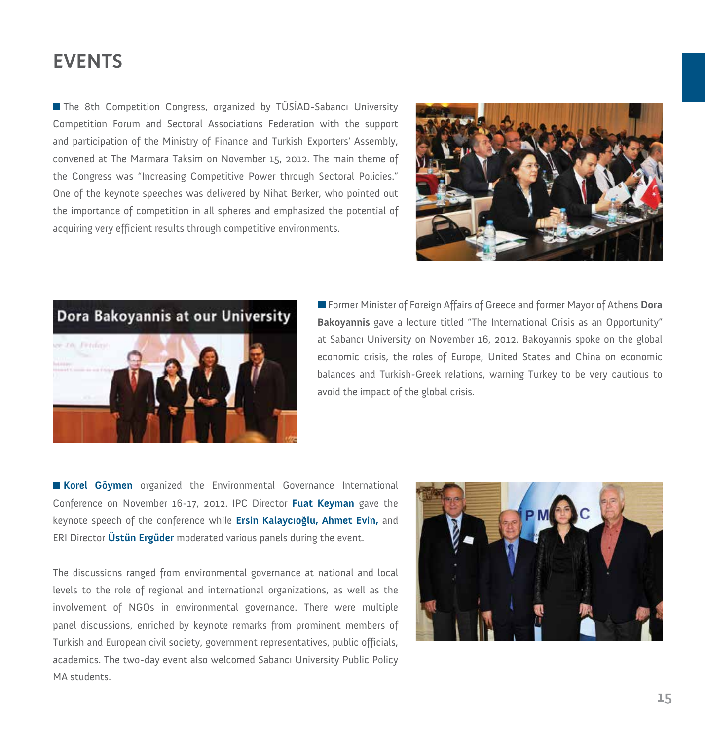**The 8th Competition Congress, organized by TÜSİAD-Sabancı University** Competition Forum and Sectoral Associations Federation with the support and participation of the Ministry of Finance and Turkish Exporters' Assembly, convened at The Marmara Taksim on November 15, 2012. The main theme of the Congress was "Increasing Competitive Power through Sectoral Policies." One of the keynote speeches was delivered by Nihat Berker, who pointed out the importance of competition in all spheres and emphasized the potential of acquiring very efficient results through competitive environments.





Former Minister of Foreign Affairs of Greece and former Mayor of Athens **Dora Bakoyannis** gave a lecture titled "The International Crisis as an Opportunity" at Sabancı University on November 16, 2012. Bakoyannis spoke on the global economic crisis, the roles of Europe, United States and China on economic balances and Turkish-Greek relations, warning Turkey to be very cautious to avoid the impact of the global crisis.

**Korel Göymen** organized the Environmental Governance International Conference on November 16-17, 2012. IPC Director **Fuat Keyman** gave the keynote speech of the conference while **Ersin Kalaycıoğlu, Ahmet Evin,** and ERI Director **Üstün Ergüder** moderated various panels during the event.

The discussions ranged from environmental governance at national and local levels to the role of regional and international organizations, as well as the involvement of NGOs in environmental governance. There were multiple panel discussions, enriched by keynote remarks from prominent members of Turkish and European civil society, government representatives, public officials, academics. The two-day event also welcomed Sabancı University Public Policy MA students

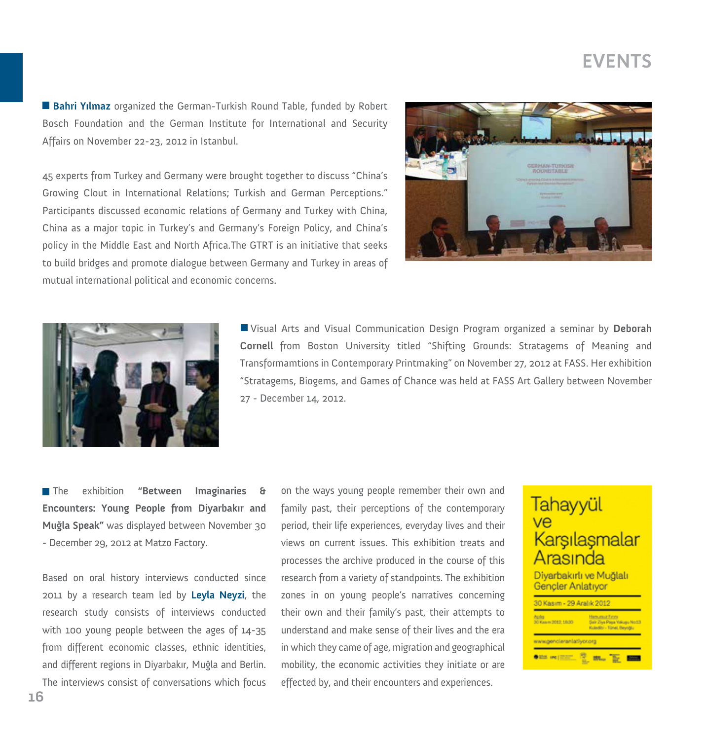**Bahri Yılmaz** organized the German-Turkish Round Table, funded by Robert Bosch Foundation and the German Institute for International and Security Affairs on November 22-23, 2012 in Istanbul.

45 experts from Turkey and Germany were brought together to discuss "China's Growing Clout in International Relations; Turkish and German Perceptions." Participants discussed economic relations of Germany and Turkey with China, China as a major topic in Turkey's and Germany's Foreign Policy, and China's policy in the Middle East and North Africa.The GTRT is an initiative that seeks to build bridges and promote dialogue between Germany and Turkey in areas of mutual international political and economic concerns.





Visual Arts and Visual Communication Design Program organized a seminar by **Deborah Cornell** from Boston University titled "Shifting Grounds: Stratagems of Meaning and Transformamtions in Contemporary Printmaking" on November 27, 2012 at FASS. Her exhibition "Stratagems, Biogems, and Games of Chance was held at FASS Art Gallery between November 27 - December 14, 2012.

The exhibition **"Between Imaginaries & Encounters: Young People from Diyarbakır and Muğla Speak"** was displayed between November 30 - December 29, 2012 at Matzo Factory.

Based on oral history interviews conducted since 2011 by a research team led by **Leyla Neyzi**, the research study consists of interviews conducted with 100 young people between the ages of 14-35 from different economic classes, ethnic identities, and different regions in Diyarbakır, Muğla and Berlin. The interviews consist of conversations which focus

on the ways young people remember their own and family past, their perceptions of the contemporary period, their life experiences, everyday lives and their views on current issues. This exhibition treats and processes the archive produced in the course of this research from a variety of standpoints. The exhibition zones in on young people's narratives concerning their own and their family's past, their attempts to understand and make sense of their lives and the era in which they came of age, migration and geographical mobility, the economic activities they initiate or are effected by, and their encounters and experiences.

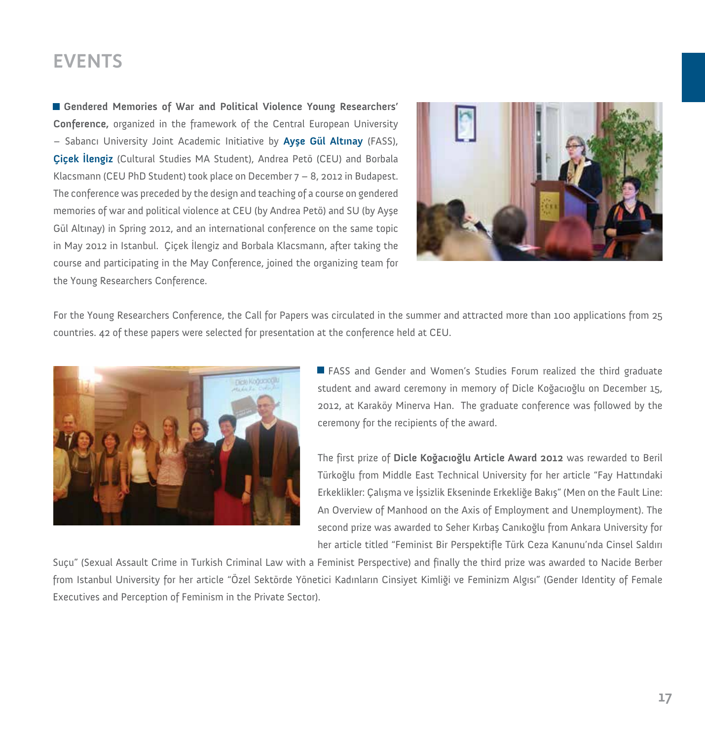**Gendered Memories of War and Political Violence Young Researchers' Conference,** organized in the framework of the Central European University – Sabancı University Joint Academic Initiative by **Ayşe Gül Altınay** (FASS), **Çiçek İlengiz** (Cultural Studies MA Student), Andrea Petö (CEU) and Borbala Klacsmann (CEU PhD Student) took place on December 7 – 8, 2012 in Budapest. The conference was preceded by the design and teaching of a course on gendered memories of war and political violence at CEU (by Andrea Petö) and SU (by Ayşe Gül Altınay) in Spring 2012, and an international conference on the same topic in May 2012 in Istanbul. Çiçek İlengiz and Borbala Klacsmann, after taking the course and participating in the May Conference, joined the organizing team for the Young Researchers Conference.



For the Young Researchers Conference, the Call for Papers was circulated in the summer and attracted more than 100 applications from 25 countries. 42 of these papers were selected for presentation at the conference held at CEU.



**E** FASS and Gender and Women's Studies Forum realized the third graduate student and award ceremony in memory of Dicle Koğacıoğlu on December 15, 2012, at Karaköy Minerva Han. The graduate conference was followed by the ceremony for the recipients of the award.

The first prize of **Dicle Koğacıoğlu Article Award 2012** was rewarded to Beril Türkoğlu from Middle East Technical University for her article "Fay Hattındaki Erkeklikler: Çalışma ve İşsizlik Ekseninde Erkekliğe Bakış" (Men on the Fault Line: An Overview of Manhood on the Axis of Employment and Unemployment). The second prize was awarded to Seher Kırbaş Canıkoğlu from Ankara University for her article titled "Feminist Bir Perspektifle Türk Ceza Kanunu'nda Cinsel Saldırı

Suçu" (Sexual Assault Crime in Turkish Criminal Law with a Feminist Perspective) and finally the third prize was awarded to Nacide Berber from Istanbul University for her article "Özel Sektörde Yönetici Kadınların Cinsiyet Kimliği ve Feminizm Algısı" (Gender Identity of Female Executives and Perception of Feminism in the Private Sector).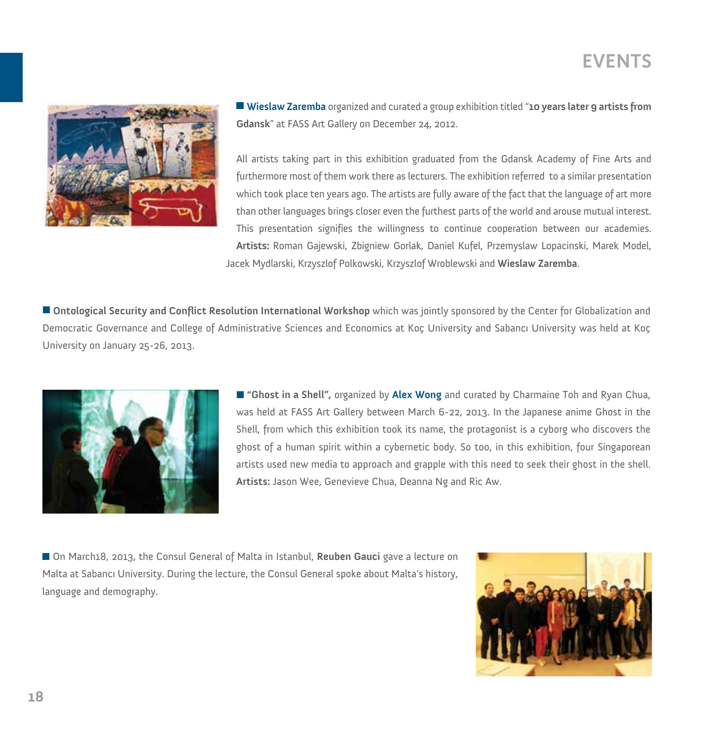

**Wieslaw Zaremba** organized and curated a group exhibition titled "**10 years later 9 artists from Gdansk**" at FASS Art Gallery on December 24, 2012.

All artists taking part in this exhibition graduated from the Gdansk Academy of Fine Arts and furthermore most of them work there as lecturers. The exhibition referred to a similar presentation which took place ten years ago. The artists are fully aware of the fact that the language of art more than other languages brings closer even the furthest parts of the world and arouse mutual interest. This presentation signifies the willingness to continue cooperation between our academies. **Artists:** Roman Gajewski, Zbigniew Gorlak, Daniel Kufel, Przemyslaw Lopacinski, Marek Model, Jacek Mydlarski, Krzyszlof Polkowski, Krzyszlof Wroblewski and **Wieslaw Zaremba**.

**Ontological Security and Conflict Resolution International Workshop** which was jointly sponsored by the Center for Globalization and Democratic Governance and College of Administrative Sciences and Economics at Koç University and Sabancı University was held at Koç University on January 25-26, 2013.



**"Ghost in a Shell",** organized by **Alex Wong** and curated by Charmaine Toh and Ryan Chua, was held at FASS Art Gallery between March 6-22, 2013. In the Japanese anime Ghost in the Shell, from which this exhibition took its name, the protagonist is a cyborg who discovers the ghost of a human spirit within a cybernetic body. So too, in this exhibition, four Singaporean artists used new media to approach and grapple with this need to seek their ghost in the shell. **Artists:** Jason Wee, Genevieve Chua, Deanna Ng and Ric Aw.

On March18, 2013, the Consul General of Malta in Istanbul, **Reuben Gauci** gave a lecture on Malta at Sabancı University. During the lecture, the Consul General spoke about Malta's history, language and demography.

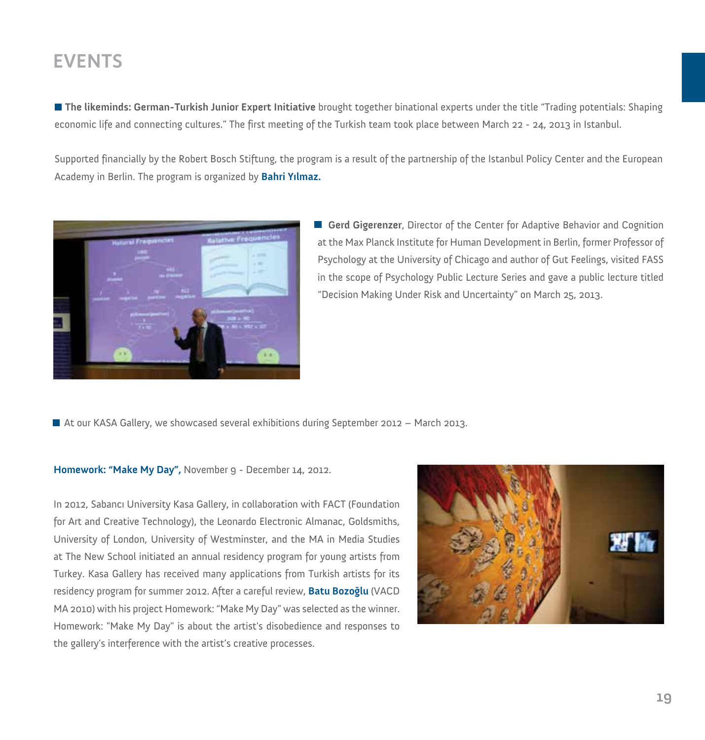**The likeminds: German-Turkish Junior Expert Initiative** brought together binational experts under the title "Trading potentials: Shaping economic life and connecting cultures." The first meeting of the Turkish team took place between March 22 - 24, 2013 in Istanbul.

Supported financially by the Robert Bosch Stiftung, the program is a result of the partnership of the Istanbul Policy Center and the European Academy in Berlin. The program is organized by **Bahri Yılmaz.**



**Gerd Gigerenzer**, Director of the Center for Adaptive Behavior and Cognition at the Max Planck Institute for Human Development in Berlin, former Professor of Psychology at the University of Chicago and author of Gut Feelings, visited FASS in the scope of Psychology Public Lecture Series and gave a public lecture titled "Decision Making Under Risk and Uncertainty" on March 25, 2013.

At our KASA Gallery, we showcased several exhibitions during September 2012 – March 2013.

**Homework: "Make My Day",** November 9 - December 14, 2012.

In 2012, Sabancı University Kasa Gallery, in collaboration with FACT (Foundation for Art and Creative Technology), the Leonardo Electronic Almanac, Goldsmiths, University of London, University of Westminster, and the MA in Media Studies at The New School initiated an annual residency program for young artists from Turkey. Kasa Gallery has received many applications from Turkish artists for its residency program for summer 2012. After a careful review, **Batu Bozoğlu** (VACD MA 2010) with his project Homework: "Make My Day" was selected as the winner. Homework: "Make My Day" is about the artist's disobedience and responses to the gallery's interference with the artist's creative processes.

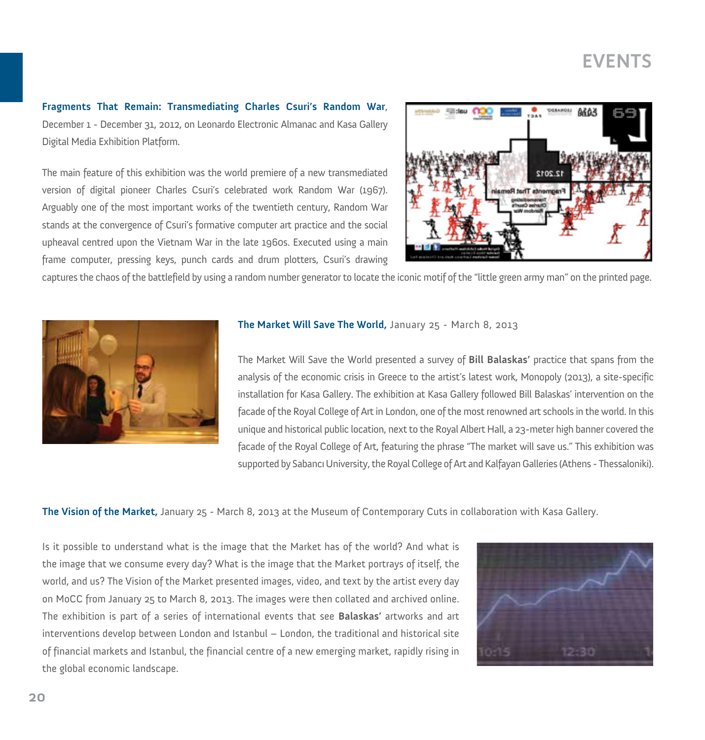**Fragments That Remain: Transmediating Charles Csuri's Random War**, December 1 - December 31, 2012, on Leonardo Electronic Almanac and Kasa Gallery Digital Media Exhibition Platform.

The main feature of this exhibition was the world premiere of a new transmediated version of digital pioneer Charles Csuri's celebrated work Random War (1967). Arguably one of the most important works of the twentieth century, Random War stands at the convergence of Csuri's formative computer art practice and the social upheaval centred upon the Vietnam War in the late 1960s. Executed using a main frame computer, pressing keys, punch cards and drum plotters, Csuri's drawing



captures the chaos of the battlefield by using a random number generator to locate the iconic motif of the "little green army man" on the printed page.



#### **The Market Will Save The World,** January 25 - March 8, 2013

The Market Will Save the World presented a survey of **Bill Balaskas'** practice that spans from the analysis of the economic crisis in Greece to the artist's latest work, Monopoly (2013), a site-specific installation for Kasa Gallery. The exhibition at Kasa Gallery followed Bill Balaskas' intervention on the facade of the Royal College of Art in London, one of the most renowned art schools in the world. In this unique and historical public location, next to the Royal Albert Hall, a 23-meter high banner covered the facade of the Royal College of Art, featuring the phrase "The market will save us." This exhibition was supported by Sabancı University, the Royal College of Art and Kalfayan Galleries (Athens - Thessaloniki).

**The Vision of the Market,** January 25 - March 8, 2013 at the Museum of Contemporary Cuts in collaboration with Kasa Gallery.

Is it possible to understand what is the image that the Market has of the world? And what is the image that we consume every day? What is the image that the Market portrays of itself, the world, and us? The Vision of the Market presented images, video, and text by the artist every day on MoCC from January 25 to March 8, 2013. The images were then collated and archived online. The exhibition is part of a series of international events that see **Balaskas'** artworks and art interventions develop between London and Istanbul – London, the traditional and historical site of financial markets and Istanbul, the financial centre of a new emerging market, rapidly rising in the global economic landscape.

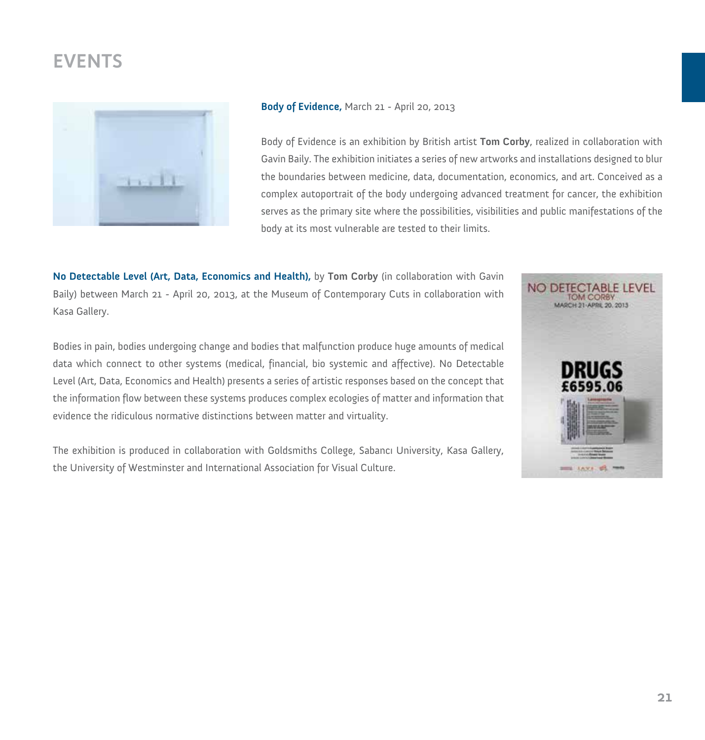

#### **Body of Evidence,** March 21 - April 20, 2013

Body of Evidence is an exhibition by British artist **Tom Corby**, realized in collaboration with Gavin Baily. The exhibition initiates a series of new artworks and installations designed to blur the boundaries between medicine, data, documentation, economics, and art. Conceived as a complex autoportrait of the body undergoing advanced treatment for cancer, the exhibition serves as the primary site where the possibilities, visibilities and public manifestations of the body at its most vulnerable are tested to their limits.

**No Detectable Level (Art, Data, Economics and Health),** by **Tom Corby** (in collaboration with Gavin Baily) between March 21 - April 20, 2013, at the Museum of Contemporary Cuts in collaboration with Kasa Gallery.

Bodies in pain, bodies undergoing change and bodies that malfunction produce huge amounts of medical data which connect to other systems (medical, financial, bio systemic and affective). No Detectable Level (Art, Data, Economics and Health) presents a series of artistic responses based on the concept that the information flow between these systems produces complex ecologies of matter and information that evidence the ridiculous normative distinctions between matter and virtuality.

The exhibition is produced in collaboration with Goldsmiths College, Sabancı University, Kasa Gallery, the University of Westminster and International Association for Visual Culture.

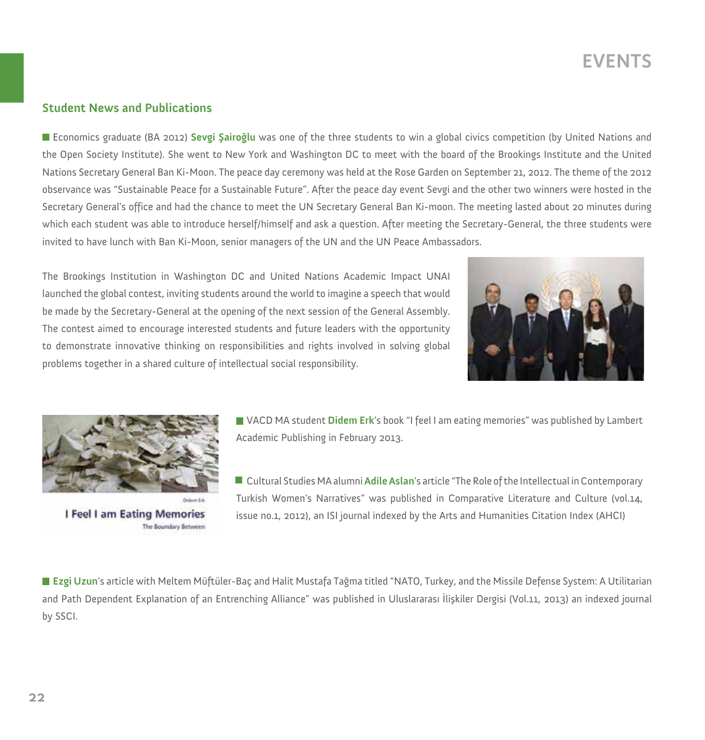#### **Student News and Publications**

Economics graduate (BA 2012) **Sevgi Şairoğlu** was one of the three students to win a global civics competition (by United Nations and the Open Society Institute). She went to New York and Washington DC to meet with the board of the Brookings Institute and the United Nations Secretary General Ban Ki-Moon. The peace day ceremony was held at the Rose Garden on September 21, 2012. The theme of the 2012 observance was "Sustainable Peace for a Sustainable Future". After the peace day event Sevgi and the other two winners were hosted in the Secretary General's office and had the chance to meet the UN Secretary General Ban Ki-moon. The meeting lasted about 20 minutes during which each student was able to introduce herself/himself and ask a question. After meeting the Secretary-General, the three students were invited to have lunch with Ban Ki-Moon, senior managers of the UN and the UN Peace Ambassadors.

The Brookings Institution in Washington DC and United Nations Academic Impact UNAI launched the global contest, inviting students around the world to imagine a speech that would be made by the Secretary-General at the opening of the next session of the General Assembly. The contest aimed to encourage interested students and future leaders with the opportunity to demonstrate innovative thinking on responsibilities and rights involved in solving global problems together in a shared culture of intellectual social responsibility.





I Feel I am Eating Memories The Boundary Between

VACD MA student **Didem Erk**'s book "I feel I am eating memories" was published by Lambert Academic Publishing in February 2013.

Cultural Studies MA alumni**Adile Aslan**'s article "The Role of the Intellectual in Contemporary Turkish Women's Narratives" was published in Comparative Literature and Culture (vol.14, issue no.1, 2012), an ISI journal indexed by the Arts and Humanities Citation Index (AHCI)

**Ezgi Uzun**'s article with Meltem Müftüler-Baç and Halit Mustafa Tağma titled "NATO, Turkey, and the Missile Defense System: A Utilitarian and Path Dependent Explanation of an Entrenching Alliance" was published in Uluslararası İlişkiler Dergisi (Vol.11, 2013) an indexed journal by SSCI.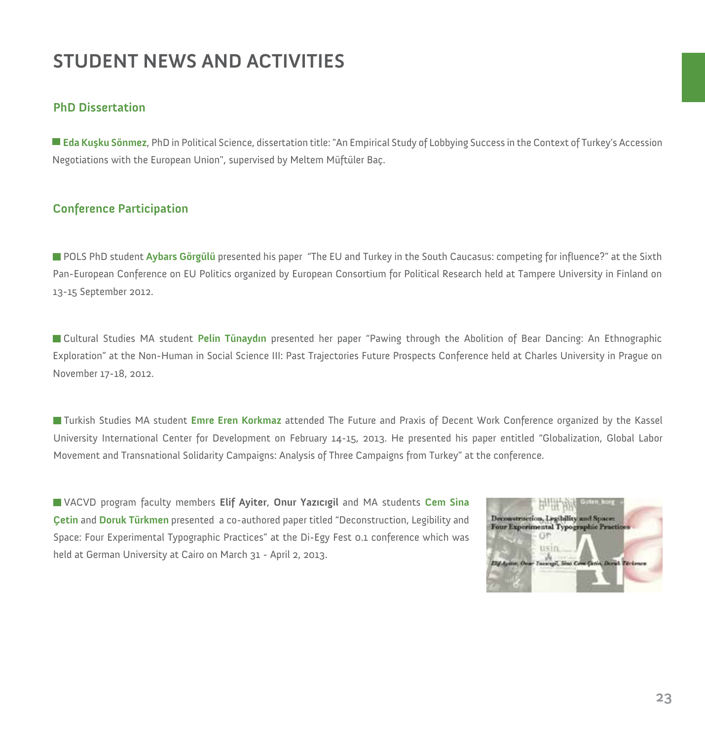### **PhD Dissertation**

**Eda Kuşku Sönmez**, PhD in Political Science, dissertation title: "An Empirical Study of Lobbying Success in the Context of Turkey's Accession Negotiations with the European Union", supervised by Meltem Müftüler Baç.

### **Conference Participation**

POLS PhD student **Aybars Görgülü** presented his paper "The EU and Turkey in the South Caucasus: competing for influence?" at the Sixth Pan-European Conference on EU Politics organized by European Consortium for Political Research held at Tampere University in Finland on 13-15 September 2012.

Cultural Studies MA student **Pelin Tünaydın** presented her paper "Pawing through the Abolition of Bear Dancing: An Ethnographic Exploration" at the Non-Human in Social Science III: Past Trajectories Future Prospects Conference held at Charles University in Prague on November 17-18, 2012.

Turkish Studies MA student **Emre Eren Korkmaz** attended The Future and Praxis of Decent Work Conference organized by the Kassel University International Center for Development on February 14-15, 2013. He presented his paper entitled "Globalization, Global Labor Movement and Transnational Solidarity Campaigns: Analysis of Three Campaigns from Turkey" at the conference.

VACVD program faculty members **Elif Ayiter**, **Onur Yazıcıgil** and MA students **Cem Sina Çetin** and **Doruk Türkmen** presented a co-authored paper titled "Deconstruction, Legibility and Space: Four Experimental Typographic Practices" at the Di-Egy Fest 0.1 conference which was held at German University at Cairo on March 31 - April 2, 2013.

| <b>STORE Guten born</b>                                   |
|-----------------------------------------------------------|
| Deconstruction, Legibility and Space:                     |
| Four Experimental Typographic Practices                   |
|                                                           |
|                                                           |
|                                                           |
| Eld Aystor, Oner Tassengil, Sino Com Cetin, Deruk Tarkmen |
|                                                           |
|                                                           |
|                                                           |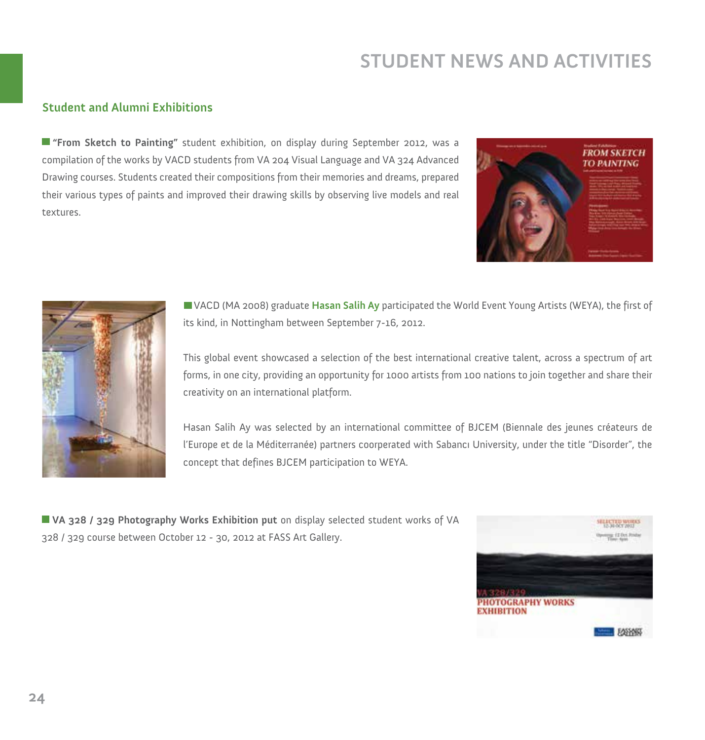## **Student and Alumni Exhibitions**

**"From Sketch to Painting"** student exhibition, on display during September 2012, was a compilation of the works by VACD students from VA 204 Visual Language and VA 324 Advanced Drawing courses. Students created their compositions from their memories and dreams, prepared their various types of paints and improved their drawing skills by observing live models and real textures.





VACD (MA 2008) graduate **Hasan Salih Ay** participated the World Event Young Artists (WEYA), the first of its kind, in Nottingham between September 7-16, 2012.

This global event showcased a selection of the best international creative talent, across a spectrum of art forms, in one city, providing an opportunity for 1000 artists from 100 nations to join together and share their creativity on an international platform.

Hasan Salih Ay was selected by an international committee of BJCEM (Biennale des jeunes créateurs de l'Europe et de la Méditerranée) partners coorperated with Sabancı University, under the title "Disorder", the concept that defines BJCEM participation to WEYA.

**VA 328 / 329 Photography Works Exhibition put** on display selected student works of VA 328 / 329 course between October 12 - 30, 2012 at FASS Art Gallery.

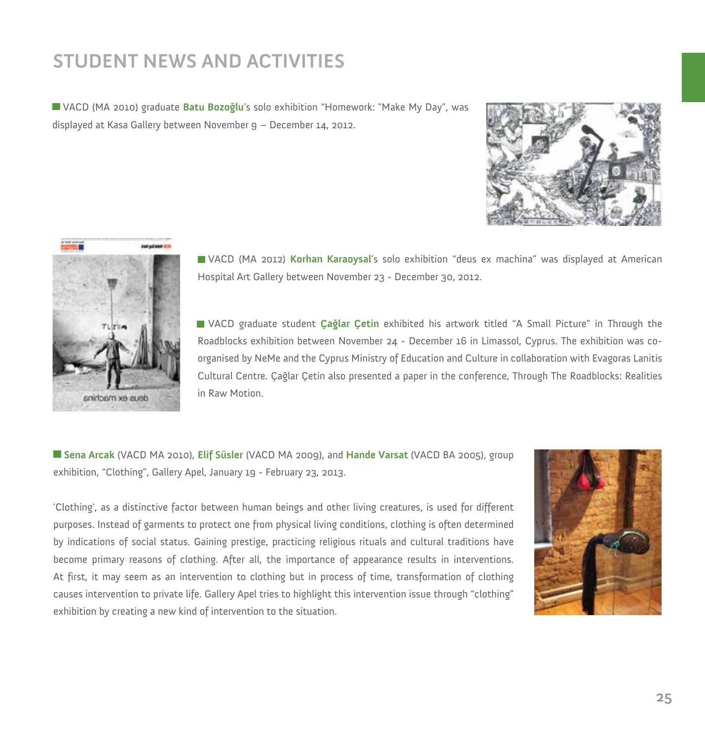VACD (MA 2010) graduate **Batu Bozoğlu**'s solo exhibition "Homework: "Make My Day", was displayed at Kasa Gallery between November 9 – December 14, 2012.





VACD (MA 2012) **Korhan Karaoysal**'s solo exhibition "deus ex machina" was displayed at American Hospital Art Gallery between November 23 - December 30, 2012.

VACD graduate student **Çağlar Çetin** exhibited his artwork titled "A Small Picture" in Through the Roadblocks exhibition between November 24 - December 16 in Limassol, Cyprus. The exhibition was coorganised by NeMe and the Cyprus Ministry of Education and Culture in collaboration with Evagoras Lanitis Cultural Centre. Çağlar Çetin also presented a paper in the conference, Through The Roadblocks: Realities in Raw Motion.

**Sena Arcak** (VACD MA 2010), **Elif Süsler** (VACD MA 2009), and **Hande Varsat** (VACD BA 2005), group exhibition, "Clothing", Gallery Apel, January 19 - February 23, 2013.

'Clothing', as a distinctive factor between human beings and other living creatures, is used for different purposes. Instead of garments to protect one from physical living conditions, clothing is often determined by indications of social status. Gaining prestige, practicing religious rituals and cultural traditions have become primary reasons of clothing. After all, the importance of appearance results in interventions. At first, it may seem as an intervention to clothing but in process of time, transformation of clothing causes intervention to private life. Gallery Apel tries to highlight this intervention issue through "clothing" exhibition by creating a new kind of intervention to the situation.

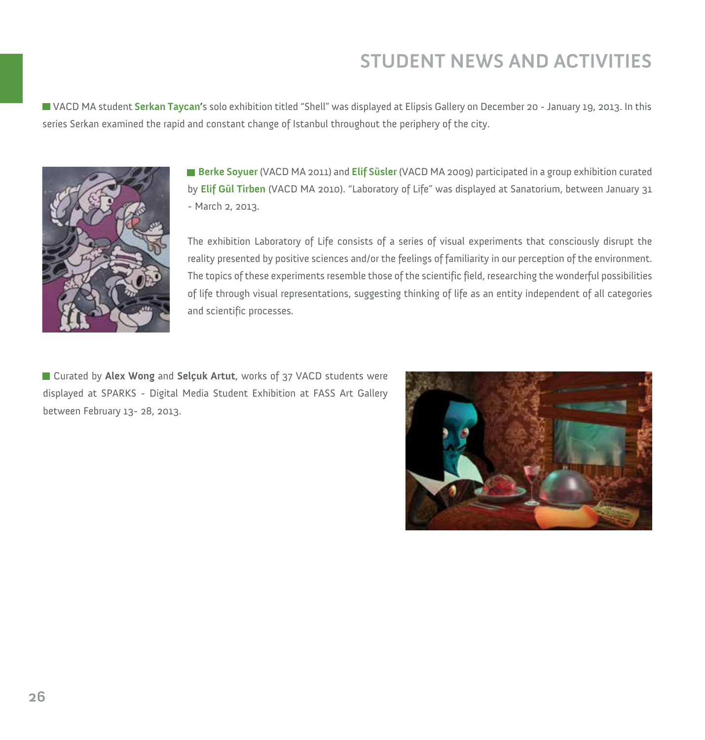VACD MA student **Serkan Taycan'**s solo exhibition titled "Shell" was displayed at Elipsis Gallery on December 20 - January 19, 2013. In this series Serkan examined the rapid and constant change of Istanbul throughout the periphery of the city.



**Berke Soyuer** (VACD MA 2011) and **Elif Süsler** (VACD MA 2009) participated in a group exhibition curated by **Elif Gül Tirben** (VACD MA 2010). "Laboratory of Life" was displayed at Sanatorium, between January 31 - March 2, 2013.

The exhibition Laboratory of Life consists of a series of visual experiments that consciously disrupt the reality presented by positive sciences and/or the feelings of familiarity in our perception of the environment. The topics of these experiments resemble those of the scientific field, researching the wonderful possibilities of life through visual representations, suggesting thinking of life as an entity independent of all categories and scientific processes.

Curated by **Alex Wong** and **Selçuk Artut**, works of 37 VACD students were displayed at SPARKS - Digital Media Student Exhibition at FASS Art Gallery between February 13- 28, 2013.

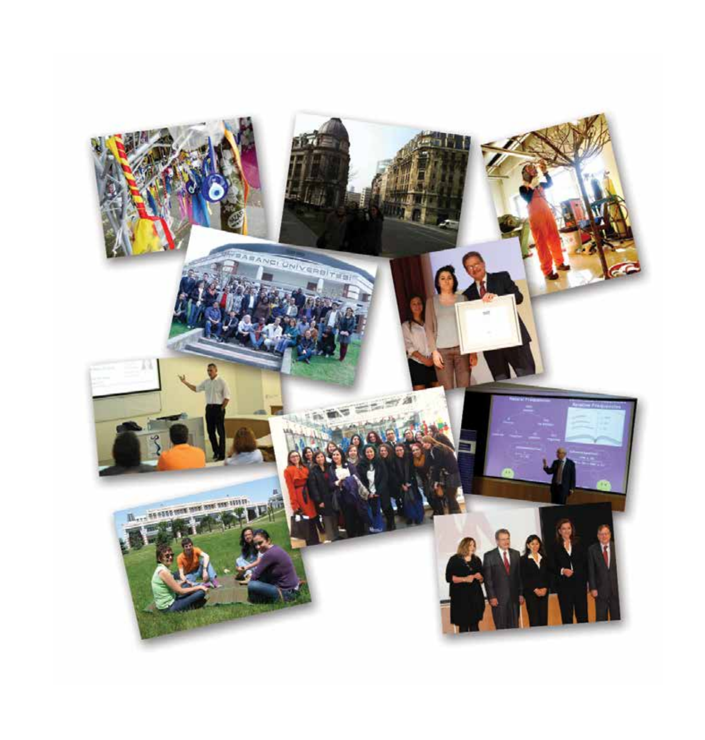